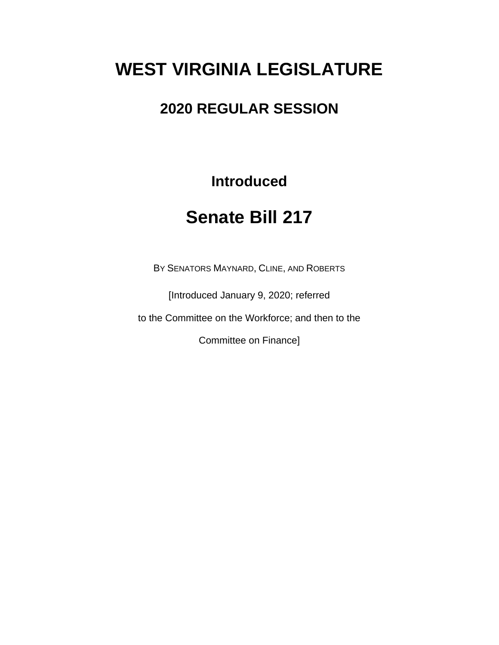## **WEST VIRGINIA LEGISLATURE**

### **2020 REGULAR SESSION**

**Introduced**

## **Senate Bill 217**

BY SENATORS MAYNARD, CLINE, AND ROBERTS

[Introduced January 9, 2020; referred

to the Committee on the Workforce; and then to the

Committee on Finance]